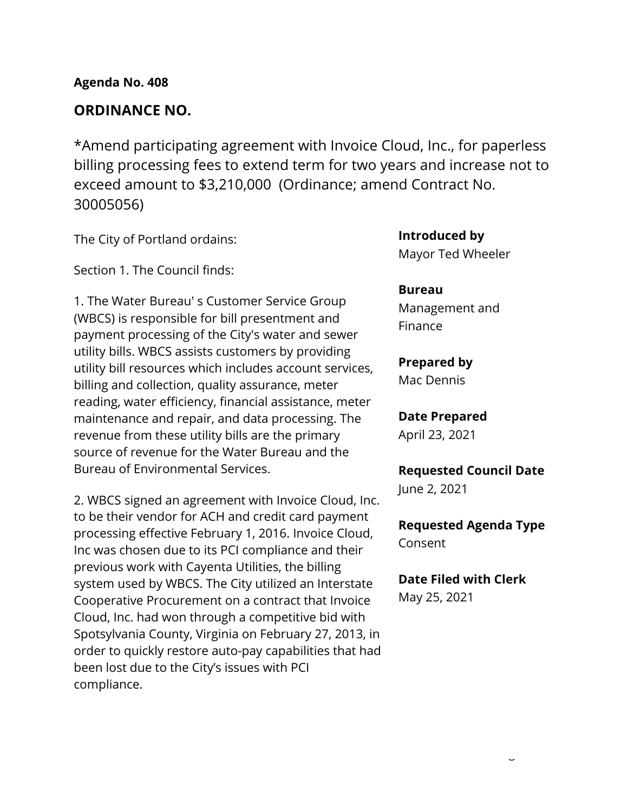# **ORDINANCE NO.**

\*Amend participating agreement with Invoice Cloud, Inc., for paperless billing processing fees to extend term for two years and increase not to exceed amount to \$3,210,000 (Ordinance; amend Contract No. 30005056)

The City of Portland ordains:

Section 1. The Council finds:

1. The Water Bureau' s Customer Service Group (WBCS) is responsible for bill presentment and payment processing of the City's water and sewer utility bills. WBCS assists customers by providing utility bill resources which includes account services, billing and collection, quality assurance, meter reading, water efficiency, financial assistance, meter maintenance and repair, and data processing. The revenue from these utility bills are the primary source of revenue for the Water Bureau and the Bureau of Environmental Services.

2. WBCS signed an agreement with Invoice Cloud, Inc. to be their vendor for ACH and credit card payment processing effective February 1, 2016. Invoice Cloud, Inc was chosen due to its PCI compliance and their previous work with Cayenta Utilities, the billing system used by WBCS. The City utilized an Interstate Cooperative Procurement on a contract that Invoice Cloud, Inc. had won through a competitive bid with Spotsylvania County, Virginia on February 27, 2013, in order to quickly restore auto-pay capabilities that had been lost due to the City's issues with PCI compliance.

**Introduced by**

Mayor Ted Wheeler

## **Bureau**

Management and Finance

# **Prepared by**

Mac Dennis

# **Date Prepared**

April 23, 2021

# **Requested Council Date** June 2, 2021

**Requested Agenda Type** Consent

## **Date Filed with Clerk**

May 25, 2021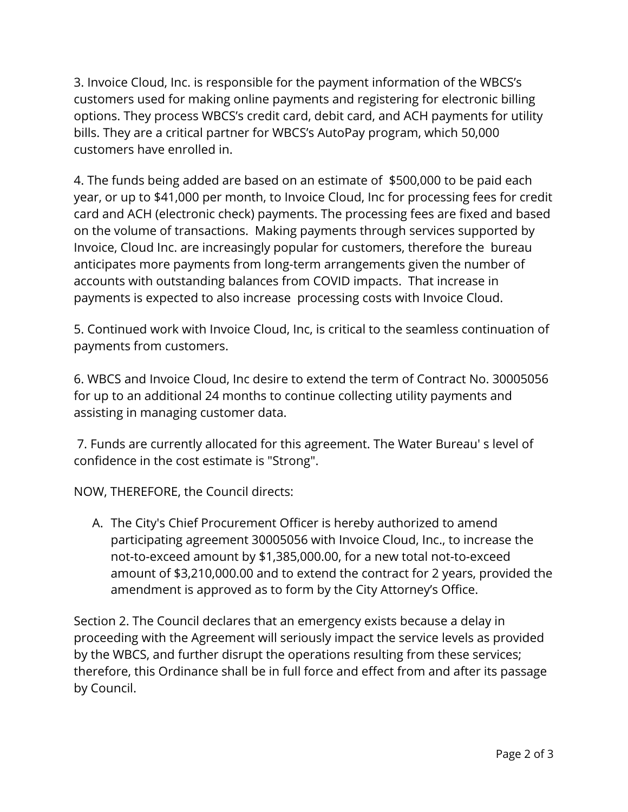3. Invoice Cloud, Inc. is responsible for the payment information of the WBCS's customers used for making online payments and registering for electronic billing options. They process WBCS's credit card, debit card, and ACH payments for utility bills. They are a critical partner for WBCS's AutoPay program, which 50,000 customers have enrolled in.

4. The funds being added are based on an estimate of \$500,000 to be paid each year, or up to \$41,000 per month, to Invoice Cloud, Inc for processing fees for credit card and ACH (electronic check) payments. The processing fees are fixed and based on the volume of transactions. Making payments through services supported by Invoice, Cloud Inc. are increasingly popular for customers, therefore the bureau anticipates more payments from long-term arrangements given the number of accounts with outstanding balances from COVID impacts. That increase in payments is expected to also increase processing costs with Invoice Cloud.

5. Continued work with Invoice Cloud, Inc, is critical to the seamless continuation of payments from customers.

6. WBCS and Invoice Cloud, Inc desire to extend the term of Contract No. 30005056 for up to an additional 24 months to continue collecting utility payments and assisting in managing customer data.

7. Funds are currently allocated for this agreement. The Water Bureau' s level of confidence in the cost estimate is "Strong".

NOW, THEREFORE, the Council directs:

A. The City's Chief Procurement Officer is hereby authorized to amend participating agreement 30005056 with Invoice Cloud, Inc., to increase the not-to-exceed amount by \$1,385,000.00, for a new total not-to-exceed amount of \$3,210,000.00 and to extend the contract for 2 years, provided the amendment is approved as to form by the City Attorney's Office.

Section 2. The Council declares that an emergency exists because a delay in proceeding with the Agreement will seriously impact the service levels as provided by the WBCS, and further disrupt the operations resulting from these services; therefore, this Ordinance shall be in full force and effect from and after its passage by Council.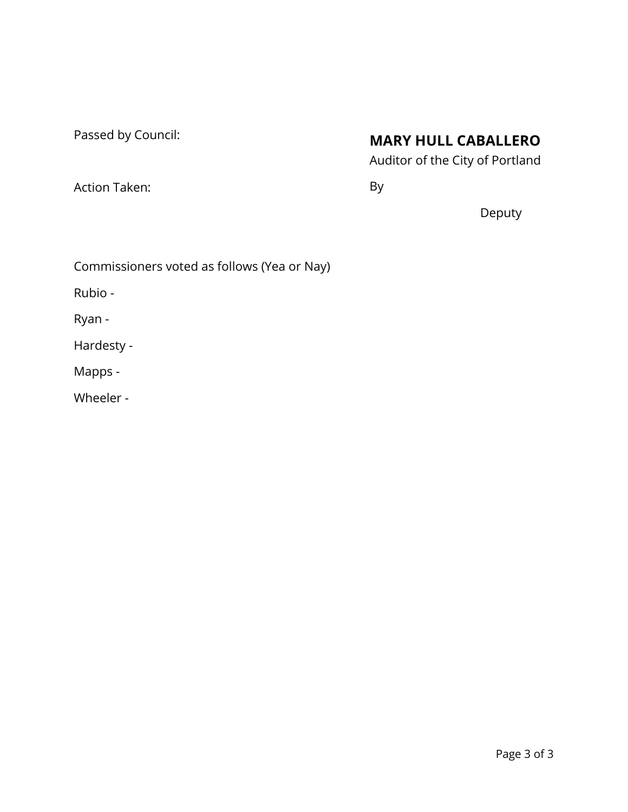Passed by Council:

Action Taken:

# **MARY HULL CABALLERO**

Auditor of the City of Portland

By

Deputy

Commissioners voted as follows (Yea or Nay)

Rubio -

Ryan -

Hardesty -

Mapps -

Wheeler -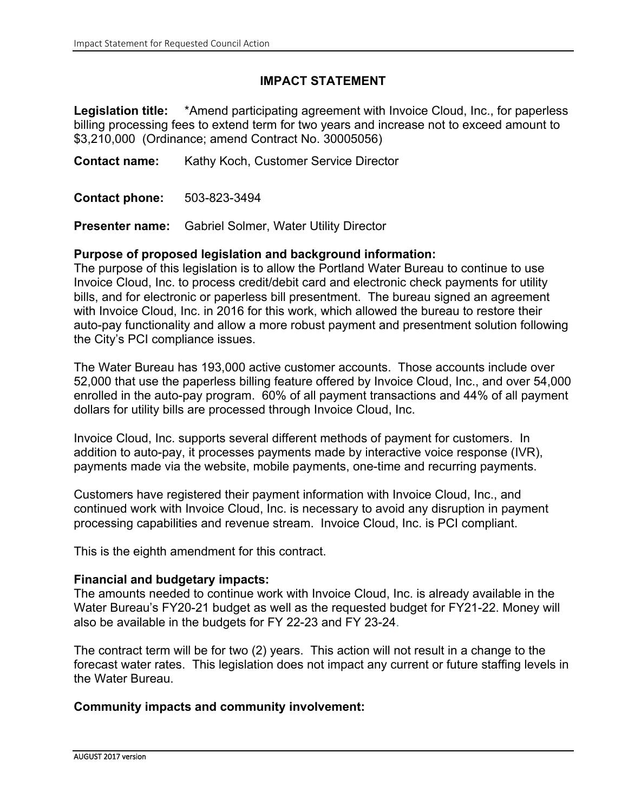### **IMPACT STATEMENT**

**Legislation title:** \*Amend participating agreement with Invoice Cloud, Inc., for paperless billing processing fees to extend term for two years and increase not to exceed amount to \$3,210,000 (Ordinance; amend Contract No. 30005056)

**Contact name:** Kathy Koch, Customer Service Director

**Contact phone:** 503-823-3494

**Presenter name:** Gabriel Solmer, Water Utility Director

#### **Purpose of proposed legislation and background information:**

The purpose of this legislation is to allow the Portland Water Bureau to continue to use Invoice Cloud, Inc. to process credit/debit card and electronic check payments for utility bills, and for electronic or paperless bill presentment. The bureau signed an agreement with Invoice Cloud, Inc. in 2016 for this work, which allowed the bureau to restore their auto-pay functionality and allow a more robust payment and presentment solution following the City's PCI compliance issues.

The Water Bureau has 193,000 active customer accounts. Those accounts include over 52,000 that use the paperless billing feature offered by Invoice Cloud, Inc., and over 54,000 enrolled in the auto-pay program. 60% of all payment transactions and 44% of all payment dollars for utility bills are processed through Invoice Cloud, Inc.

Invoice Cloud, Inc. supports several different methods of payment for customers. In addition to auto-pay, it processes payments made by interactive voice response (IVR), payments made via the website, mobile payments, one-time and recurring payments.

Customers have registered their payment information with Invoice Cloud, Inc., and continued work with Invoice Cloud, Inc. is necessary to avoid any disruption in payment processing capabilities and revenue stream. Invoice Cloud, Inc. is PCI compliant.

This is the eighth amendment for this contract.

#### **Financial and budgetary impacts:**

The amounts needed to continue work with Invoice Cloud, Inc. is already available in the Water Bureau's FY20-21 budget as well as the requested budget for FY21-22. Money will also be available in the budgets for FY 22-23 and FY 23-24.

The contract term will be for two (2) years. This action will not result in a change to the forecast water rates. This legislation does not impact any current or future staffing levels in the Water Bureau.

#### **Community impacts and community involvement:**